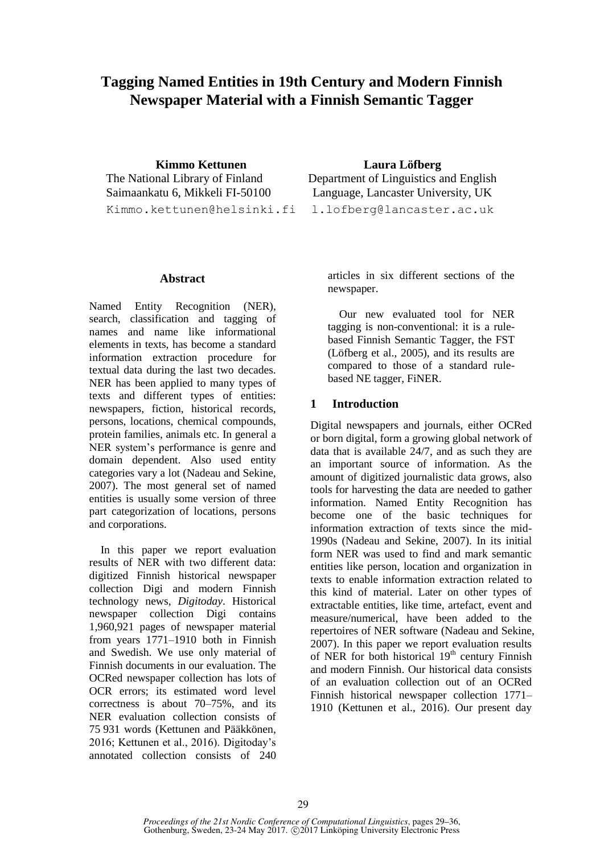# **Tagging Named Entities in 19th Century and Modern Finnish Newspaper Material with a Finnish Semantic Tagger**

**Kimmo Kettunen** The National Library of Finland Saimaankatu 6, Mikkeli FI-50100 Kimmo.kettunen@helsinki.fi

#### **Abstract**

Named Entity Recognition (NER), search, classification and tagging of names and name like informational elements in texts, has become a standard information extraction procedure for textual data during the last two decades. NER has been applied to many types of texts and different types of entities: newspapers, fiction, historical records, persons, locations, chemical compounds, protein families, animals etc. In general a NER system's performance is genre and domain dependent. Also used entity categories vary a lot (Nadeau and Sekine, 2007). The most general set of named entities is usually some version of three part categorization of locations, persons and corporations.

In this paper we report evaluation results of NER with two different data: digitized Finnish historical newspaper collection Digi and modern Finnish technology news, *Digitoday*. Historical newspaper collection Digi contains 1,960,921 pages of newspaper material from years 1771–1910 both in Finnish and Swedish. We use only material of Finnish documents in our evaluation. The OCRed newspaper collection has lots of OCR errors; its estimated word level correctness is about 70–75%, and its NER evaluation collection consists of 75 931 words (Kettunen and Pääkkönen, 2016; Kettunen et al., 2016). Digitoday's annotated collection consists of 240

**Laura Löfberg** Department of Linguistics and English Language, Lancaster University, UK l.lofberg@lancaster.ac.uk

articles in six different sections of the newspaper.

Our new evaluated tool for NER tagging is non-conventional: it is a rulebased Finnish Semantic Tagger, the FST (Löfberg et al., 2005), and its results are compared to those of a standard rulebased NE tagger, FiNER.

### **1 Introduction**

Digital newspapers and journals, either OCRed or born digital, form a growing global network of data that is available 24/7, and as such they are an important source of information. As the amount of digitized journalistic data grows, also tools for harvesting the data are needed to gather information. Named Entity Recognition has become one of the basic techniques for information extraction of texts since the mid-1990s (Nadeau and Sekine, 2007). In its initial form NER was used to find and mark semantic entities like person, location and organization in texts to enable information extraction related to this kind of material. Later on other types of extractable entities, like time, artefact, event and measure/numerical, have been added to the repertoires of NER software (Nadeau and Sekine, 2007). In this paper we report evaluation results of NER for both historical  $19<sup>th</sup>$  century Finnish and modern Finnish. Our historical data consists of an evaluation collection out of an OCRed Finnish historical newspaper collection 1771– 1910 (Kettunen et al., 2016). Our present day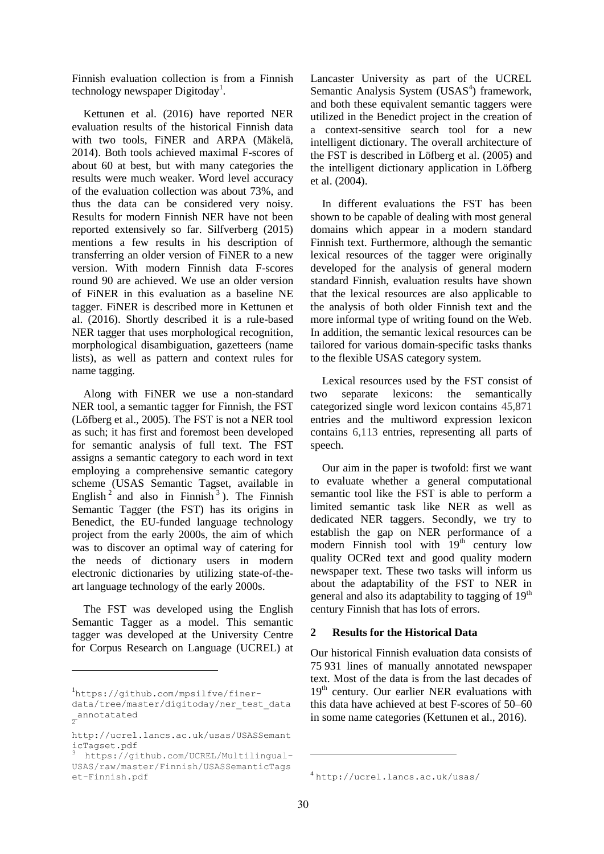Finnish evaluation collection is from a Finnish technology newspaper Digitoday<sup>1</sup>.

Kettunen et al. (2016) have reported NER evaluation results of the historical Finnish data with two tools, FiNER and ARPA (Mäkelä, 2014). Both tools achieved maximal F-scores of about 60 at best, but with many categories the results were much weaker. Word level accuracy of the evaluation collection was about 73%, and thus the data can be considered very noisy. Results for modern Finnish NER have not been reported extensively so far. Silfverberg (2015) mentions a few results in his description of transferring an older version of FiNER to a new version. With modern Finnish data F-scores round 90 are achieved. We use an older version of FiNER in this evaluation as a baseline NE tagger. FiNER is described more in Kettunen et al. (2016). Shortly described it is a rule-based NER tagger that uses morphological recognition, morphological disambiguation, gazetteers (name lists), as well as pattern and context rules for name tagging.

Along with FiNER we use a non-standard NER tool, a semantic tagger for Finnish, the FST (Löfberg et al., 2005). The FST is not a NER tool as such; it has first and foremost been developed for semantic analysis of full text. The FST assigns a semantic category to each word in text employing a comprehensive semantic category scheme (USAS Semantic Tagset, available in English<sup>2</sup> and also in Finnish<sup>3</sup>). The Finnish Semantic Tagger (the FST) has its origins in Benedict, the EU-funded language technology project from the early 2000s, the aim of which was to discover an optimal way of catering for the needs of dictionary users in modern electronic dictionaries by utilizing state-of-theart language technology of the early 2000s.

The FST was developed using the English Semantic Tagger as a model. This semantic tagger was developed at the University Centre for Corpus Research on Language (UCREL) at

 $\overline{a}$ 

Lancaster University as part of the UCREL Semantic Analysis System (USAS<sup>4</sup>) framework, and both these equivalent semantic taggers were utilized in the Benedict project in the creation of a context-sensitive search tool for a new intelligent dictionary. The overall architecture of the FST is described in Löfberg et al. (2005) and the intelligent dictionary application in Löfberg et al. (2004).

In different evaluations the FST has been shown to be capable of dealing with most general domains which appear in a modern standard Finnish text. Furthermore, although the semantic lexical resources of the tagger were originally developed for the analysis of general modern standard Finnish, evaluation results have shown that the lexical resources are also applicable to the analysis of both older Finnish text and the more informal type of writing found on the Web. In addition, the semantic lexical resources can be tailored for various domain-specific tasks thanks to the flexible USAS category system.

Lexical resources used by the FST consist of two separate lexicons: the semantically categorized single word lexicon contains 45,871 entries and the multiword expression lexicon contains 6,113 entries, representing all parts of speech.

Our aim in the paper is twofold: first we want to evaluate whether a general computational semantic tool like the FST is able to perform a limited semantic task like NER as well as dedicated NER taggers. Secondly, we try to establish the gap on NER performance of a modern Finnish tool with  $19<sup>th</sup>$  century low quality OCRed text and good quality modern newspaper text. These two tasks will inform us about the adaptability of the FST to NER in general and also its adaptability to tagging of  $19<sup>th</sup>$ century Finnish that has lots of errors.

### **2 Results for the Historical Data**

Our historical Finnish evaluation data consists of 75 931 lines of manually annotated newspaper text. Most of the data is from the last decades of  $19<sup>th</sup>$  century. Our earlier NER evaluations with this data have achieved at best F-scores of 50–60 in some name categories (Kettunen et al., 2016).

-

<sup>1</sup> https://github.com/mpsilfve/finerdata/tree/master/digitoday/ner\_test\_data \_annotatated 2

http://ucrel.lancs.ac.uk/usas/USASSemant icTagset.pdf

<sup>3</sup> https://github.com/UCREL/Multilingual-USAS/raw/master/Finnish/USASSemanticTags et-Finnish.pdf

<sup>4</sup> http://ucrel.lancs.ac.uk/usas/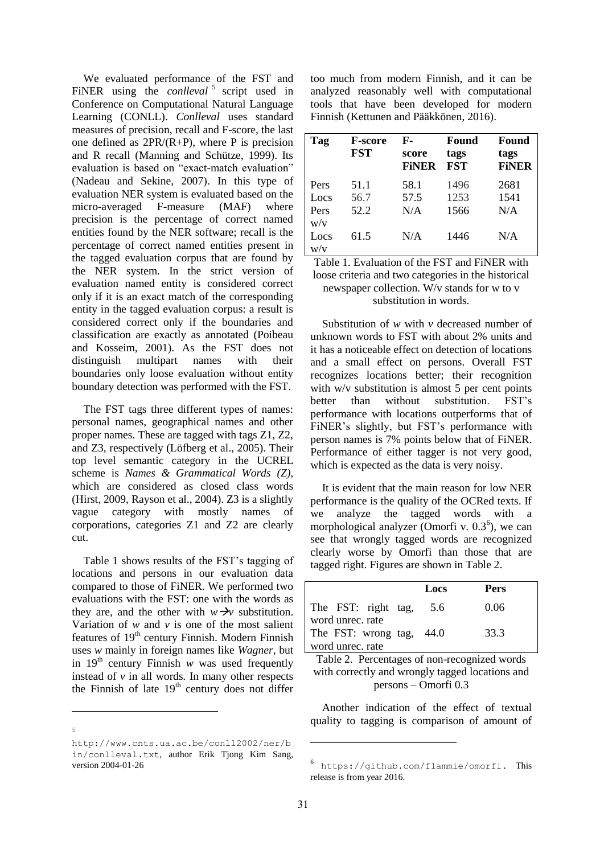We evaluated performance of the FST and FiNER using the *conlleval*<sup>5</sup> script used in Conference on Computational Natural Language Learning (CONLL). *Conlleval* uses standard measures of precision, recall and F-score, the last one defined as  $2PR/(R+P)$ , where P is precision and R recall (Manning and Schütze, 1999). Its evaluation is based on "exact-match evaluation" (Nadeau and Sekine, 2007). In this type of evaluation NER system is evaluated based on the micro-averaged F-measure (MAF) where precision is the percentage of correct named entities found by the NER software; recall is the percentage of correct named entities present in the tagged evaluation corpus that are found by the NER system. In the strict version of evaluation named entity is considered correct only if it is an exact match of the corresponding entity in the tagged evaluation corpus: a result is considered correct only if the boundaries and classification are exactly as annotated (Poibeau and Kosseim, 2001). As the FST does not distinguish multipart names with their boundaries only loose evaluation without entity boundary detection was performed with the FST.

The FST tags three different types of names: personal names, geographical names and other proper names. These are tagged with tags Z1, Z2, and Z3, respectively (Löfberg et al., 2005). Their top level semantic category in the UCREL scheme is *Names & Grammatical Words (Z),*  which are considered as closed class words (Hirst, 2009, Rayson et al., 2004). Z3 is a slightly vague category with mostly names of corporations, categories Z1 and Z2 are clearly cut.

Table 1 shows results of the FST's tagging of locations and persons in our evaluation data compared to those of FiNER. We performed two evaluations with the FST: one with the words as they are, and the other with  $w \rightarrow v$  substitution. Variation of  $w$  and  $v$  is one of the most salient features of  $19<sup>th</sup>$  century Finnish. Modern Finnish uses *w* mainly in foreign names like *Wagner*, but in  $19<sup>th</sup>$  century Finnish *w* was used frequently instead of  $\nu$  in all words. In many other respects the Finnish of late  $19<sup>th</sup>$  century does not differ

-5 too much from modern Finnish, and it can be analyzed reasonably well with computational tools that have been developed for modern Finnish (Kettunen and Pääkkönen, 2016).

| Tag                         | <b>F-score</b><br><b>FST</b> | F-<br>score<br><b>FINER</b> | Found<br>tags<br><b>FST</b> | Found<br>tags<br><b>FINER</b> |
|-----------------------------|------------------------------|-----------------------------|-----------------------------|-------------------------------|
| Pers<br>Locs<br>Pers<br>W/V | 51.1<br>56.7<br>52.2         | 58.1<br>57.5<br>N/A         | 1496<br>1253<br>1566        | 2681<br>1541<br>N/A           |
| Locs<br>W/V                 | 61.5                         | N/A                         | 1446                        | N/A                           |

Table 1. Evaluation of the FST and FiNER with loose criteria and two categories in the historical newspaper collection. W/v stands for w to v substitution in words.

Substitution of *w* with *v* decreased number of unknown words to FST with about 2% units and it has a noticeable effect on detection of locations and a small effect on persons. Overall FST recognizes locations better; their recognition with w/v substitution is almost 5 per cent points better than without substitution. FST's performance with locations outperforms that of FiNER's slightly, but FST's performance with person names is 7% points below that of FiNER. Performance of either tagger is not very good, which is expected as the data is very noisy.

It is evident that the main reason for low NER performance is the quality of the OCRed texts. If we analyze the tagged words with a morphological analyzer (Omorfi v.  $0.3<sup>6</sup>$ ), we can see that wrongly tagged words are recognized clearly worse by Omorfi than those that are tagged right. Figures are shown in Table 2.

|                                         | Locs | Pers |
|-----------------------------------------|------|------|
| The FST: right tag,<br>word unrec. rate | 5.6  | 0.06 |
| The FST: wrong tag, 44.0                |      | 33.3 |
| word unrec. rate                        |      |      |

Table 2. Percentages of non-recognized words with correctly and wrongly tagged locations and persons – Omorfi 0.3

Another indication of the effect of textual quality to tagging is comparison of amount of

-

http://www.cnts.ua.ac.be/conll2002/ner/b in/conlleval.txt, author Erik Tjong Kim Sang, version 2004-01-26

<sup>6</sup> https://github.com/flammie/omorfi. This release is from year 2016.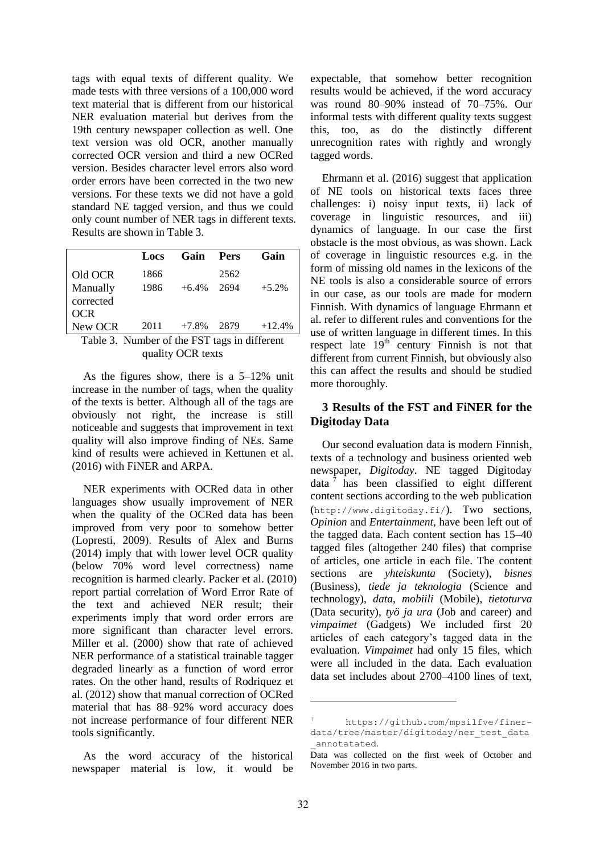tags with equal texts of different quality. We made tests with three versions of a 100,000 word text material that is different from our historical NER evaluation material but derives from the 19th century newspaper collection as well. One text version was old OCR, another manually corrected OCR version and third a new OCRed version. Besides character level errors also word order errors have been corrected in the two new versions. For these texts we did not have a gold standard NE tagged version, and thus we could only count number of NER tags in different texts. Results are shown in Table 3.

|            | Locs | Gain Pers |      | Gain     |
|------------|------|-----------|------|----------|
| Old OCR    | 1866 |           | 2562 |          |
| Manually   | 1986 | $+6.4\%$  | 2694 | $+5.2%$  |
| corrected  |      |           |      |          |
| <b>OCR</b> |      |           |      |          |
| New OCR    | 2011 | $+7.8%$   | 2879 | $+12.4%$ |

Table 3. Number of the FST tags in different quality OCR texts

As the figures show, there is a 5–12% unit increase in the number of tags, when the quality of the texts is better. Although all of the tags are obviously not right, the increase is still noticeable and suggests that improvement in text quality will also improve finding of NEs. Same kind of results were achieved in Kettunen et al. (2016) with FiNER and ARPA.

NER experiments with OCRed data in other languages show usually improvement of NER when the quality of the OCRed data has been improved from very poor to somehow better (Lopresti, 2009). Results of Alex and Burns (2014) imply that with lower level OCR quality (below 70% word level correctness) name recognition is harmed clearly. Packer et al. (2010) report partial correlation of Word Error Rate of the text and achieved NER result; their experiments imply that word order errors are more significant than character level errors. Miller et al. (2000) show that rate of achieved NER performance of a statistical trainable tagger degraded linearly as a function of word error rates. On the other hand, results of Rodriquez et al. (2012) show that manual correction of OCRed material that has 88–92% word accuracy does not increase performance of four different NER tools significantly.

As the word accuracy of the historical newspaper material is low, it would be expectable, that somehow better recognition results would be achieved, if the word accuracy was round 80–90% instead of 70–75%. Our informal tests with different quality texts suggest this, too, as do the distinctly different unrecognition rates with rightly and wrongly tagged words.

Ehrmann et al. (2016) suggest that application of NE tools on historical texts faces three challenges: i) noisy input texts, ii) lack of coverage in linguistic resources, and iii) dynamics of language. In our case the first obstacle is the most obvious, as was shown. Lack of coverage in linguistic resources e.g. in the form of missing old names in the lexicons of the NE tools is also a considerable source of errors in our case, as our tools are made for modern Finnish. With dynamics of language Ehrmann et al. refer to different rules and conventions for the use of written language in different times. In this respect late  $19<sup>th</sup>$  century Finnish is not that different from current Finnish, but obviously also this can affect the results and should be studied more thoroughly.

## **3 Results of the FST and FiNER for the Digitoday Data**

Our second evaluation data is modern Finnish, texts of a technology and business oriented web newspaper, *Digitoday*. NE tagged Digitoday data  $\frac{7}{1}$  has been classified to eight different content sections according to the web publication (http://www.digitoday.fi/). Two sections, *Opinion* and *Entertainment*, have been left out of the tagged data. Each content section has 15–40 tagged files (altogether 240 files) that comprise of articles, one article in each file. The content sections are *yhteiskunta* (Society), *bisnes* (Business), *tiede ja teknologia* (Science and technology), *data*, *mobiili* (Mobile), *tietoturva* (Data security), *työ ja ura* (Job and career) and *vimpaimet* (Gadgets) We included first 20 articles of each category's tagged data in the evaluation. *Vimpaimet* had only 15 files, which were all included in the data. Each evaluation data set includes about 2700–4100 lines of text,

 $\overline{a}$ 

https://github.com/mpsilfve/finerdata/tree/master/digitoday/ner\_test\_data \_annotatated.

Data was collected on the first week of October and November 2016 in two parts.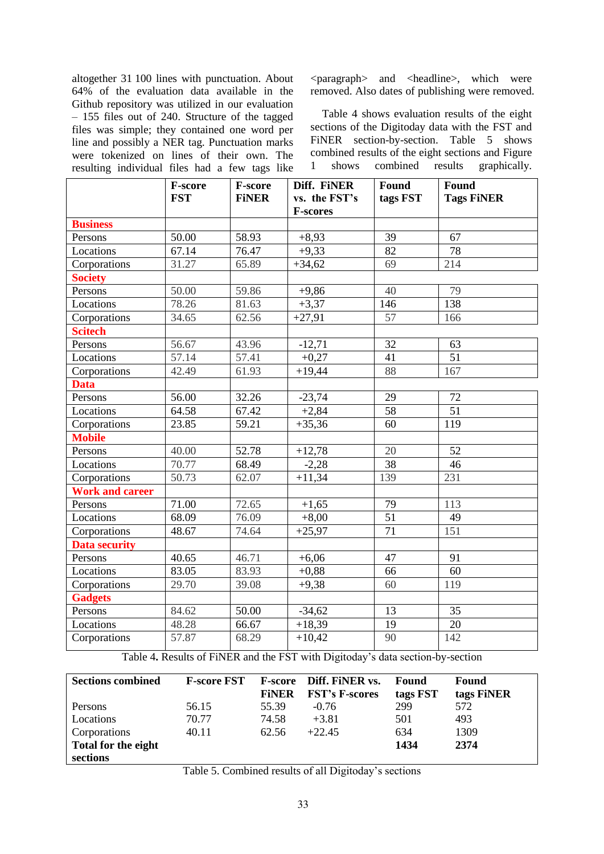altogether 31 100 lines with punctuation. About 64% of the evaluation data available in the Github repository was utilized in our evaluation – 155 files out of 240. Structure of the tagged files was simple; they contained one word per line and possibly a NER tag. Punctuation marks were tokenized on lines of their own. The resulting individual files had a few tags like <paragraph> and <headline>, which were removed. Also dates of publishing were removed.

Table 4 shows evaluation results of the eight sections of the Digitoday data with the FST and FINER section-by-section. Table 5 shows combined results of the eight sections and Figure 1 shows combined results graphically.

|                        | F-score<br><b>FST</b> | F-score<br><b>FINER</b> | Diff. FINER<br>vs. the FST's<br><b>F-scores</b> | Found<br>tags FST | Found<br><b>Tags FiNER</b> |
|------------------------|-----------------------|-------------------------|-------------------------------------------------|-------------------|----------------------------|
| <b>Business</b>        |                       |                         |                                                 |                   |                            |
| Persons                | 50.00                 | 58.93                   | $+8,93$                                         | 39                | 67                         |
| Locations              | $\overline{67.14}$    | 76.47                   | $+9,33$                                         | $\overline{82}$   | 78                         |
| Corporations           | 31.27                 | 65.89                   | $+34,62$                                        | 69                | 214                        |
| <b>Society</b>         |                       |                         |                                                 |                   |                            |
| Persons                | 50.00                 | 59.86                   | $+9,86$                                         | 40                | 79                         |
| Locations              | 78.26                 | 81.63                   | $+3,37$                                         | 146               | 138                        |
| Corporations           | 34.65                 | 62.56                   | $+27,91$                                        | $\overline{57}$   | 166                        |
| <b>Scitech</b>         |                       |                         |                                                 |                   |                            |
| Persons                | 56.67                 | 43.96                   | $-12,71$                                        | $\overline{32}$   | 63                         |
| Locations              | 57.14                 | 57.41                   | $+0.27$                                         | 41                | $\overline{51}$            |
| Corporations           | 42.49                 | 61.93                   | $+19,44$                                        | 88                | 167                        |
| <b>Data</b>            |                       |                         |                                                 |                   |                            |
| Persons                | 56.00                 | 32.26                   | $-23,74$                                        | 29                | 72                         |
| Locations              | 64.58                 | 67.42                   | $+2,84$                                         | 58                | 51                         |
| Corporations           | 23.85                 | 59.21                   | $+35,36$                                        | 60                | 119                        |
| <b>Mobile</b>          |                       |                         |                                                 |                   |                            |
| Persons                | 40.00                 | 52.78                   | $+12,78$                                        | 20                | $\overline{52}$            |
| Locations              | 70.77                 | 68.49                   | $-2,28$                                         | $\overline{38}$   | 46                         |
| Corporations           | 50.73                 | 62.07                   | $+11,34$                                        | 139               | 231                        |
| <b>Work and career</b> |                       |                         |                                                 |                   |                            |
| Persons                | 71.00                 | 72.65                   | $+1,65$                                         | 79                | 113                        |
| Locations              | 68.09                 | 76.09                   | $+8,00$                                         | $\overline{51}$   | 49                         |
| Corporations           | 48.67                 | 74.64                   | $+25,97$                                        | 71                | 151                        |
| <b>Data security</b>   |                       |                         |                                                 |                   |                            |
| Persons                | 40.65                 | 46.71                   | $+6,06$                                         | 47                | 91                         |
| Locations              | 83.05                 | 83.93                   | $+0,88$                                         | 66                | 60                         |
| Corporations           | 29.70                 | 39.08                   | $+9,38$                                         | 60                | 119                        |
| <b>Gadgets</b>         |                       |                         |                                                 |                   |                            |
| Persons                | 84.62                 | 50.00                   | $-34,62$                                        | 13                | $\overline{35}$            |
| Locations              | 48.28                 | 66.67                   | $+18,39$                                        | 19                | 20                         |
| Corporations           | 57.87                 | 68.29                   | $+10,42$                                        | 90                | 142                        |

Table 4**.** Results of FiNER and the FST with Digitoday's data section-by-section

| <b>Sections combined</b> | <b>F-score FST</b> | <b>F-score</b> | Diff. FiNER vs.       | Found    | Found      |
|--------------------------|--------------------|----------------|-----------------------|----------|------------|
|                          |                    | <b>FINER</b>   | <b>FST's F-scores</b> | tags FST | tags FiNER |
| Persons                  | 56.15              | 55.39          | $-0.76$               | 299      | 572        |
| Locations                | 70.77              | 74.58          | $+3.81$               | 501      | 493        |
| Corporations             | 40.11              | 62.56          | $+22.45$              | 634      | 1309       |
| Total for the eight      |                    |                |                       | 1434     | 2374       |
| sections                 |                    |                |                       |          |            |

Table 5. Combined results of all Digitoday's sections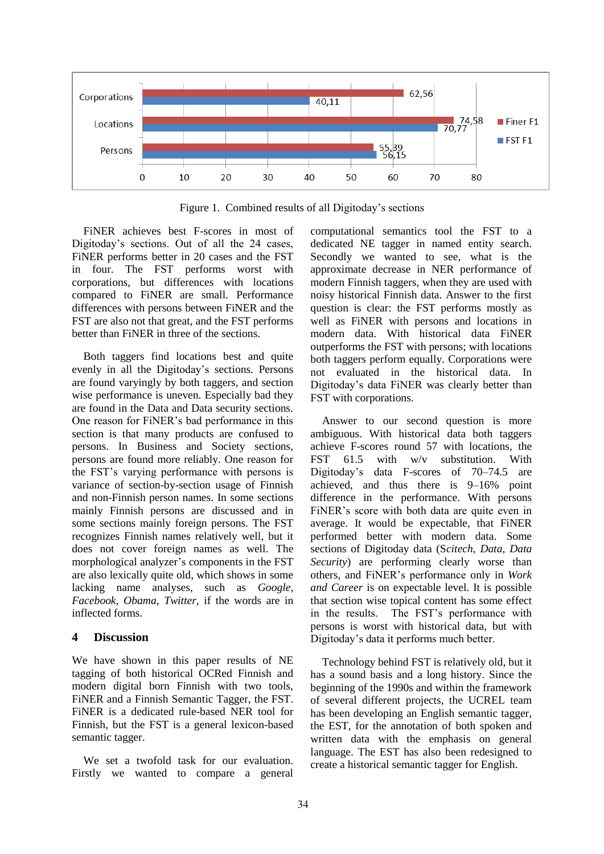

Figure 1.Combined results of all Digitoday's sections

FiNER achieves best F-scores in most of Digitoday's sections. Out of all the 24 cases, FiNER performs better in 20 cases and the FST in four. The FST performs worst with corporations, but differences with locations compared to FiNER are small. Performance differences with persons between FiNER and the FST are also not that great, and the FST performs better than FiNER in three of the sections.

Both taggers find locations best and quite evenly in all the Digitoday's sections. Persons are found varyingly by both taggers, and section wise performance is uneven. Especially bad they are found in the Data and Data security sections. One reason for FiNER's bad performance in this section is that many products are confused to persons. In Business and Society sections, persons are found more reliably. One reason for the FST's varying performance with persons is variance of section-by-section usage of Finnish and non-Finnish person names. In some sections mainly Finnish persons are discussed and in some sections mainly foreign persons. The FST recognizes Finnish names relatively well, but it does not cover foreign names as well. The morphological analyzer's components in the FST are also lexically quite old, which shows in some lacking name analyses, such as *Google, Facebook, Obama*, *Twitter,* if the words are in inflected forms.

### **4 Discussion**

We have shown in this paper results of NE tagging of both historical OCRed Finnish and modern digital born Finnish with two tools, FiNER and a Finnish Semantic Tagger, the FST. FiNER is a dedicated rule-based NER tool for Finnish, but the FST is a general lexicon-based semantic tagger.

We set a twofold task for our evaluation. Firstly we wanted to compare a general computational semantics tool the FST to a dedicated NE tagger in named entity search. Secondly we wanted to see, what is the approximate decrease in NER performance of modern Finnish taggers, when they are used with noisy historical Finnish data. Answer to the first question is clear: the FST performs mostly as well as FiNER with persons and locations in modern data. With historical data FiNER outperforms the FST with persons; with locations both taggers perform equally. Corporations were not evaluated in the historical data. In Digitoday's data FiNER was clearly better than FST with corporations.

Answer to our second question is more ambiguous. With historical data both taggers achieve F-scores round 57 with locations, the FST  $61.5$  with  $w/v$  substitution. With Digitoday's data F-scores of 70–74.5 are achieved, and thus there is 9–16% point difference in the performance. With persons FiNER's score with both data are quite even in average. It would be expectable, that FiNER performed better with modern data. Some sections of Digitoday data (S*citech, Data, Data Security*) are performing clearly worse than others, and FiNER's performance only in *Work and Career* is on expectable level. It is possible that section wise topical content has some effect in the results. The FST's performance with persons is worst with historical data, but with Digitoday's data it performs much better.

Technology behind FST is relatively old, but it has a sound basis and a long history. Since the beginning of the 1990s and within the framework of several different projects, the UCREL team has been developing an English semantic tagger, the EST, for the annotation of both spoken and written data with the emphasis on general language. The EST has also been redesigned to create a historical semantic tagger for English.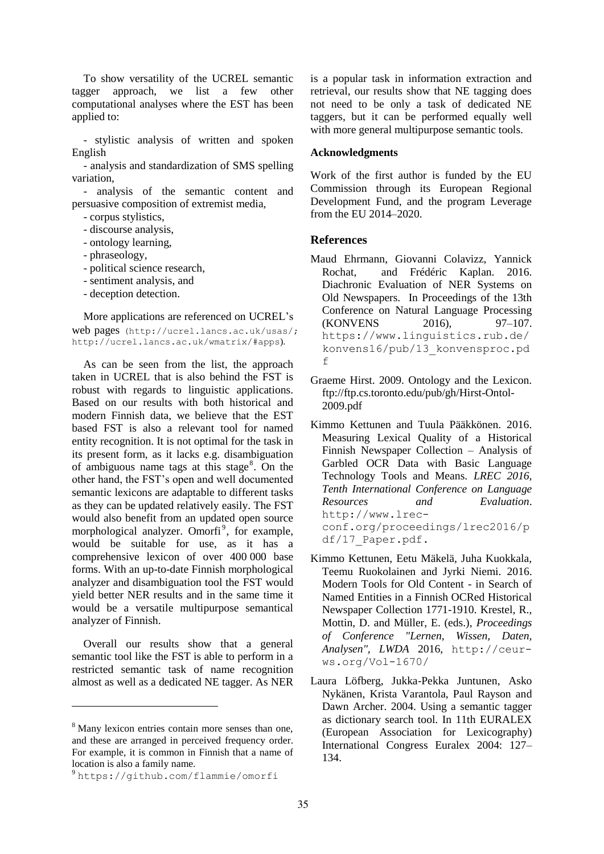To show versatility of the UCREL semantic tagger approach, we list a few other computational analyses where the EST has been applied to:

- stylistic analysis of written and spoken English

- analysis and standardization of SMS spelling variation,

- analysis of the semantic content and persuasive composition of extremist media,

- corpus stylistics,

- discourse analysis,
- ontology learning,
- phraseology,
- political science research,
- sentiment analysis, and
- deception detection.

More applications are referenced on UCREL's web pages (http://ucrel.lancs.ac.uk/usas/; http://ucrel.lancs.ac.uk/wmatrix/#apps).

As can be seen from the list, the approach taken in UCREL that is also behind the FST is robust with regards to linguistic applications. Based on our results with both historical and modern Finnish data, we believe that the EST based FST is also a relevant tool for named entity recognition. It is not optimal for the task in its present form, as it lacks e.g. disambiguation of ambiguous name tags at this stage<sup>8</sup>. On the other hand, the FST's open and well documented semantic lexicons are adaptable to different tasks as they can be updated relatively easily. The FST would also benefit from an updated open source morphological analyzer. Omorfi<sup>9</sup>, for example, would be suitable for use, as it has a comprehensive lexicon of over 400 000 base forms. With an up-to-date Finnish morphological analyzer and disambiguation tool the FST would yield better NER results and in the same time it would be a versatile multipurpose semantical analyzer of Finnish.

Overall our results show that a general semantic tool like the FST is able to perform in a restricted semantic task of name recognition almost as well as a dedicated NE tagger. As NER

 $\overline{a}$ 

is a popular task in information extraction and retrieval, our results show that NE tagging does not need to be only a task of dedicated NE taggers, but it can be performed equally well with more general multipurpose semantic tools.

#### **Acknowledgments**

Work of the first author is funded by the EU Commission through its European Regional Development Fund, and the program Leverage from the EU 2014–2020.

### **References**

- Maud Ehrmann, Giovanni Colavizz, Yannick Rochat, and Frédéric Kaplan. 2016. Diachronic Evaluation of NER Systems on Old Newspapers. In Proceedings of the 13th Conference on Natural Language Processing (KONVENS 2016), 97–107. https://www.linguistics.rub.de/ konvens16/pub/13\_konvensproc.pd f
- Graeme Hirst. 2009. Ontology and the Lexicon. ftp://ftp.cs.toronto.edu/pub/gh/Hirst-Ontol-2009.pdf
- Kimmo Kettunen and Tuula Pääkkönen. 2016. Measuring Lexical Quality of a Historical Finnish Newspaper Collection – Analysis of Garbled OCR Data with Basic Language Technology Tools and Means. *LREC 2016, Tenth International Conference on Language Resources and Evaluation*. http://www.lrecconf.org/proceedings/lrec2016/p df/17\_Paper.pdf.
- Kimmo Kettunen, Eetu Mäkelä, Juha Kuokkala, Teemu Ruokolainen and Jyrki Niemi. 2016. Modern Tools for Old Content - in Search of Named Entities in a Finnish OCRed Historical Newspaper Collection 1771-1910. Krestel, R., Mottin, D. and Müller, E. (eds.), *Proceedings of Conference "Lernen, Wissen, Daten, Analysen", LWDA* 2016, http://ceurws.org/Vol-1670/
- Laura Löfberg, Jukka-Pekka Juntunen, Asko Nykänen, Krista Varantola, Paul Rayson and Dawn Archer. 2004. Using a semantic tagger as dictionary search tool. In 11th EURALEX (European Association for Lexicography) International Congress Euralex 2004: 127– 134.

<sup>&</sup>lt;sup>8</sup> Many lexicon entries contain more senses than one. and these are arranged in perceived frequency order. For example, it is common in Finnish that a name of location is also a family name.

<sup>9</sup> https://github.com/flammie/omorfi